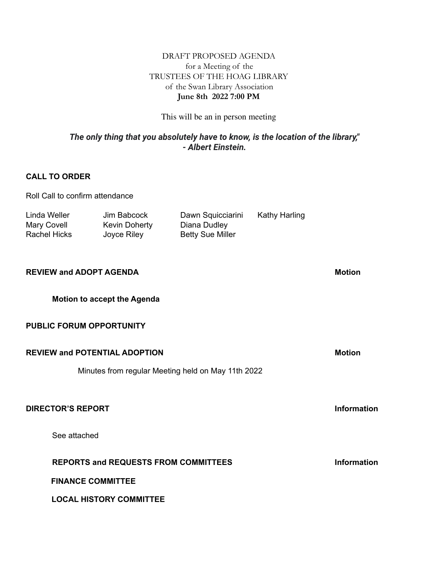# DRAFT PROPOSED AGENDA for a Meeting of the TRUSTEES OF THE HOAG LIBRARY of the Swan Library Association **June 8th 2022 7:00 PM**

This will be an in person meeting

# *The only thing that you absolutely have to know, is the location of the library," - Albert Einstein.*

# **CALL TO ORDER**

| Roll Call to confirm attendance                    |                                                    |                                                              |                      |                    |
|----------------------------------------------------|----------------------------------------------------|--------------------------------------------------------------|----------------------|--------------------|
| Linda Weller<br>Mary Covell<br><b>Rachel Hicks</b> | Jim Babcock<br><b>Kevin Doherty</b><br>Joyce Riley | Dawn Squicciarini<br>Diana Dudley<br><b>Betty Sue Miller</b> | <b>Kathy Harling</b> |                    |
| <b>REVIEW and ADOPT AGENDA</b>                     |                                                    |                                                              |                      | <b>Motion</b>      |
| <b>Motion to accept the Agenda</b>                 |                                                    |                                                              |                      |                    |
| <b>PUBLIC FORUM OPPORTUNITY</b>                    |                                                    |                                                              |                      |                    |
| <b>REVIEW and POTENTIAL ADOPTION</b>               |                                                    |                                                              |                      | <b>Motion</b>      |
| Minutes from regular Meeting held on May 11th 2022 |                                                    |                                                              |                      |                    |
| <b>DIRECTOR'S REPORT</b>                           |                                                    |                                                              |                      | <b>Information</b> |
| See attached                                       |                                                    |                                                              |                      |                    |
| <b>REPORTS and REQUESTS FROM COMMITTEES</b>        |                                                    |                                                              |                      | <b>Information</b> |
| <b>FINANCE COMMITTEE</b>                           |                                                    |                                                              |                      |                    |
|                                                    | <b>LOCAL HISTORY COMMITTEE</b>                     |                                                              |                      |                    |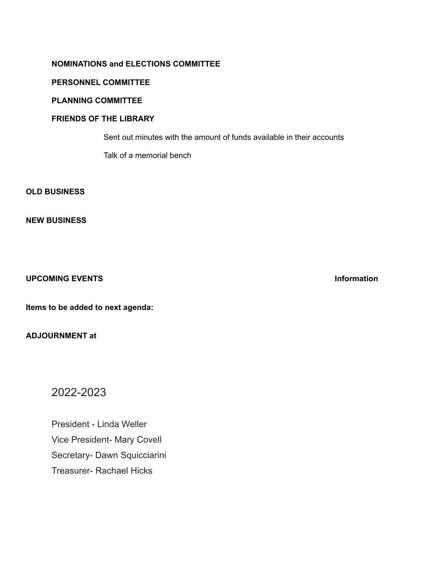## **NOMINATIONS and ELECTIONS COMMITTEE**

#### **PERSONNEL COMMITTEE**

### **PLANNING COMMITTEE**

#### **FRIENDS OF THE LIBRARY**

Sent out minutes with the amount of funds available in their accounts

Talk of a memorial bench

#### **OLD BUSINESS**

#### **NEW BUSINESS**

#### **UPCOMING EVENTS Information**

**Items to be added to next agenda:**

# **ADJOURNMENT at**

# 2022-2023

President - Linda Weller Vice President- Mary Covell Secretary- Dawn Squicciarini Treasurer- Rachael Hicks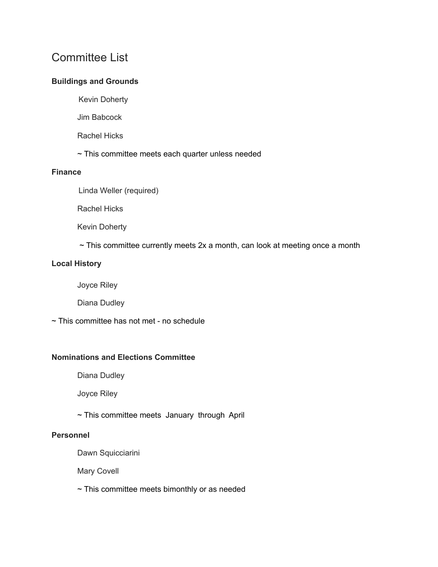# Committee List

# **Buildings and Grounds**

- Kevin Doherty
- Jim Babcock
- Rachel Hicks
- ~ This committee meets each quarter unless needed

#### **Finance**

Linda Weller (required)

Rachel Hicks

Kevin Doherty

 $\sim$  This committee currently meets 2x a month, can look at meeting once a month

### **Local History**

Joyce Riley

Diana Dudley

~ This committee has not met - no schedule

# **Nominations and Elections Committee**

Diana Dudley

Joyce Riley

~ This committee meets January through April

#### **Personnel**

Dawn Squicciarini

Mary Covell

~ This committee meets bimonthly or as needed